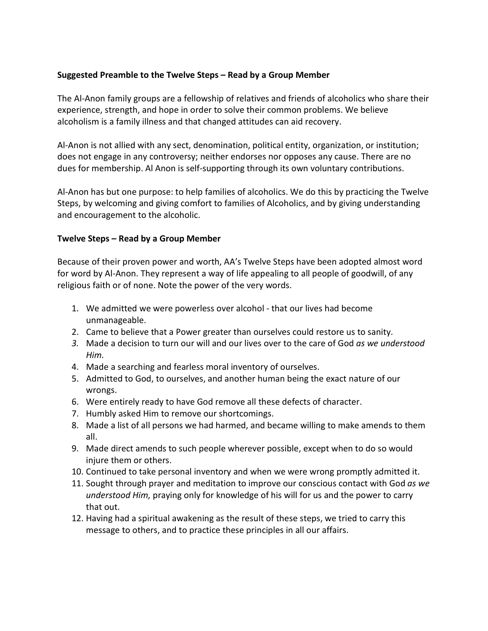## **Suggested Preamble to the Twelve Steps – Read by a Group Member**

The Al-Anon family groups are a fellowship of relatives and friends of alcoholics who share their experience, strength, and hope in order to solve their common problems. We believe alcoholism is a family illness and that changed attitudes can aid recovery.

Al-Anon is not allied with any sect, denomination, political entity, organization, or institution; does not engage in any controversy; neither endorses nor opposes any cause. There are no dues for membership. Al Anon is self-supporting through its own voluntary contributions.

Al-Anon has but one purpose: to help families of alcoholics. We do this by practicing the Twelve Steps, by welcoming and giving comfort to families of Alcoholics, and by giving understanding and encouragement to the alcoholic.

## **Twelve Steps – Read by a Group Member**

Because of their proven power and worth, AA's Twelve Steps have been adopted almost word for word by Al-Anon. They represent a way of life appealing to all people of goodwill, of any religious faith or of none. Note the power of the very words.

- 1. We admitted we were powerless over alcohol that our lives had become unmanageable.
- 2. Came to believe that a Power greater than ourselves could restore us to sanity.
- *3.* Made a decision to turn our will and our lives over to the care of God *as we understood Him.*
- 4. Made a searching and fearless moral inventory of ourselves.
- 5. Admitted to God, to ourselves, and another human being the exact nature of our wrongs.
- 6. Were entirely ready to have God remove all these defects of character.
- 7. Humbly asked Him to remove our shortcomings.
- 8. Made a list of all persons we had harmed, and became willing to make amends to them all.
- 9. Made direct amends to such people wherever possible, except when to do so would injure them or others.
- 10. Continued to take personal inventory and when we were wrong promptly admitted it.
- 11. Sought through prayer and meditation to improve our conscious contact with God *as we understood Him,* praying only for knowledge of his will for us and the power to carry that out.
- 12. Having had a spiritual awakening as the result of these steps, we tried to carry this message to others, and to practice these principles in all our affairs.